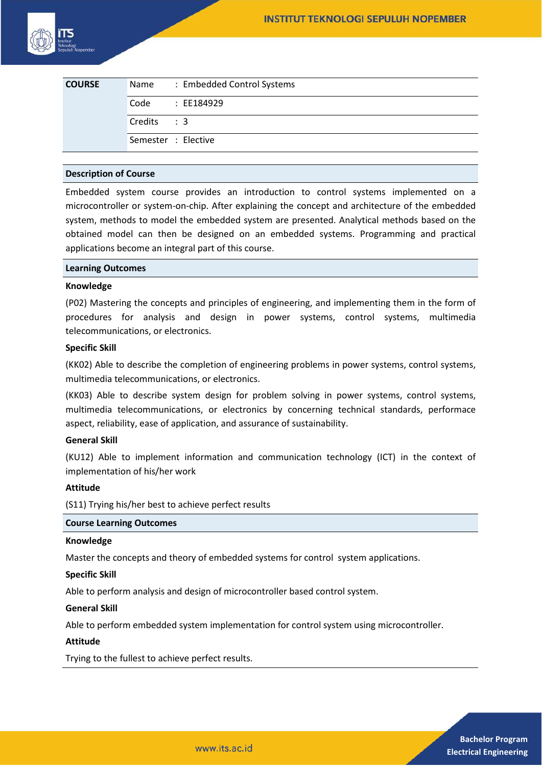| <b>COURSE</b> |             | Name: Embedded Control Systems |
|---------------|-------------|--------------------------------|
|               | Code        | : EE184929                     |
|               | Credits : 3 |                                |
|               |             | Semester : Elective            |

## **Description of Course**

Embedded system course provides an introduction to control systems implemented on a microcontroller or system-on-chip. After explaining the concept and architecture of the embedded system, methods to model the embedded system are presented. Analytical methods based on the obtained model can then be designed on an embedded systems. Programming and practical applications become an integral part of this course.

## **Learning Outcomes**

## **Knowledge**

(P02) Mastering the concepts and principles of engineering, and implementing them in the form of procedures for analysis and design in power systems, control systems, multimedia telecommunications, or electronics.

## **Specific Skill**

(KK02) Able to describe the completion of engineering problems in power systems, control systems, multimedia telecommunications, or electronics.

(KK03) Able to describe system design for problem solving in power systems, control systems, multimedia telecommunications, or electronics by concerning technical standards, performace aspect, reliability, ease of application, and assurance of sustainability.

# **General Skill**

(KU12) Able to implement information and communication technology (ICT) in the context of implementation of his/her work

## **Attitude**

(S11) Trying his/her best to achieve perfect results

## **Course Learning Outcomes**

## **Knowledge**

Master the concepts and theory of embedded systems for control system applications.

## **Specific Skill**

Able to perform analysis and design of microcontroller based control system.

## **General Skill**

Able to perform embedded system implementation for control system using microcontroller.

## **Attitude**

Trying to the fullest to achieve perfect results.